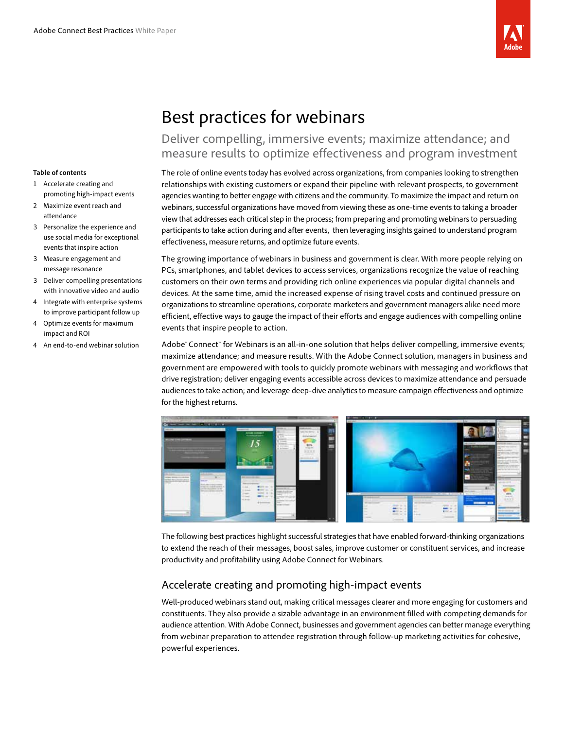

# Best practices for webinars

## Deliver compelling, immersive events; maximize attendance; and measure results to optimize effectiveness and program investment

#### **Table of contents**

- 1 Accelerate creating and promoting high-impact events
- 2 Maximize event reach and attendance
- 3 Personalize the experience and use social media for exceptional events that inspire action
- 3 Measure engagement and message resonance
- 3 Deliver compelling presentations with innovative video and audio
- 4 Integrate with enterprise systems to improve participant follow up
- 4 Optimize events for maximum impact and ROI
- 4 An end-to-end webinar solution

The role of online events today has evolved across organizations, from companies looking to strengthen relationships with existing customers or expand their pipeline with relevant prospects, to government agencies wanting to better engage with citizens and the community. To maximize the impact and return on webinars, successful organizations have moved from viewing these as one-time events to taking a broader view that addresses each critical step in the process; from preparing and promoting webinars to persuading participants to take action during and after events, then leveraging insights gained to understand program effectiveness, measure returns, and optimize future events.

The growing importance of webinars in business and government is clear. With more people relying on PCs, smartphones, and tablet devices to access services, organizations recognize the value of reaching customers on their own terms and providing rich online experiences via popular digital channels and devices. At the same time, amid the increased expense of rising travel costs and continued pressure on organizations to streamline operations, corporate marketers and government managers alike need more efficient, effective ways to gauge the impact of their efforts and engage audiences with compelling online events that inspire people to action.

Adobe® Connect™ for Webinars is an all-in-one solution that helps deliver compelling, immersive events; maximize attendance; and measure results. With the Adobe Connect solution, managers in business and government are empowered with tools to quickly promote webinars with messaging and workflows that drive registration; deliver engaging events accessible across devices to maximize attendance and persuade audiences to take action; and leverage deep-dive analytics to measure campaign effectiveness and optimize for the highest returns.



The following best practices highlight successful strategies that have enabled forward-thinking organizations to extend the reach of their messages, boost sales, improve customer or constituent services, and increase productivity and profitability using Adobe Connect for Webinars.

### Accelerate creating and promoting high-impact events

Well-produced webinars stand out, making critical messages clearer and more engaging for customers and constituents. They also provide a sizable advantage in an environment filled with competing demands for audience attention. With Adobe Connect, businesses and government agencies can better manage everything from webinar preparation to attendee registration through follow-up marketing activities for cohesive, powerful experiences.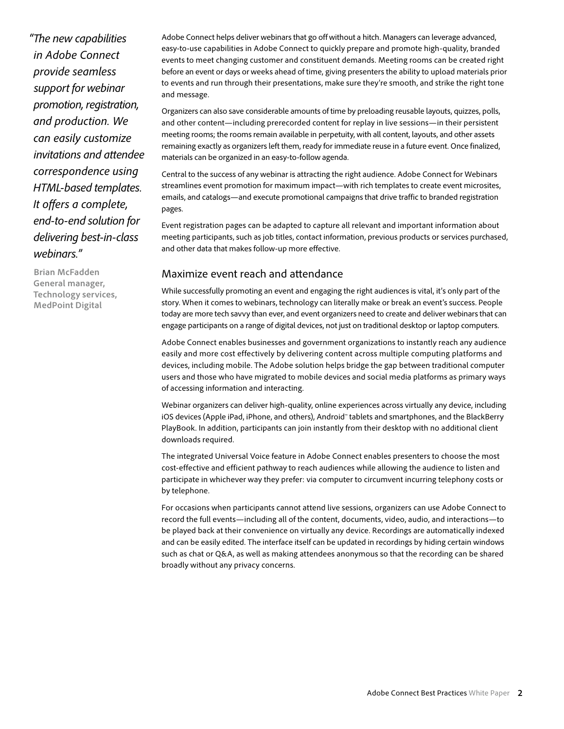*"The new capabilities in Adobe Connect provide seamless support for webinar promotion, registration, and production. We can easily customize invitations and attendee correspondence using HTML-based templates. It offers a complete, end-to-end solution for delivering best-in-class webinars."*

**Brian McFadden General manager, Technology services, MedPoint Digital**

Adobe Connect helps deliver webinars that go off without a hitch. Managers can leverage advanced, easy-to-use capabilities in Adobe Connect to quickly prepare and promote high-quality, branded events to meet changing customer and constituent demands. Meeting rooms can be created right before an event or days or weeks ahead of time, giving presenters the ability to upload materials prior to events and run through their presentations, make sure they're smooth, and strike the right tone and message.

Organizers can also save considerable amounts of time by preloading reusable layouts, quizzes, polls, and other content—including prerecorded content for replay in live sessions—in their persistent meeting rooms; the rooms remain available in perpetuity, with all content, layouts, and other assets remaining exactly as organizers left them, ready for immediate reuse in a future event. Once finalized, materials can be organized in an easy-to-follow agenda.

Central to the success of any webinar is attracting the right audience. Adobe Connect for Webinars streamlines event promotion for maximum impact—with rich templates to create event microsites, emails, and catalogs—and execute promotional campaigns that drive traffic to branded registration pages.

Event registration pages can be adapted to capture all relevant and important information about meeting participants, such as job titles, contact information, previous products or services purchased, and other data that makes follow-up more effective.

#### Maximize event reach and attendance

While successfully promoting an event and engaging the right audiences is vital, it's only part of the story. When it comes to webinars, technology can literally make or break an event's success. People today are more tech savvy than ever, and event organizers need to create and deliver webinars that can engage participants on a range of digital devices, not just on traditional desktop or laptop computers.

Adobe Connect enables businesses and government organizations to instantly reach any audience easily and more cost effectively by delivering content across multiple computing platforms and devices, including mobile. The Adobe solution helps bridge the gap between traditional computer users and those who have migrated to mobile devices and social media platforms as primary ways of accessing information and interacting.

Webinar organizers can deliver high-quality, online experiences across virtually any device, including iOS devices (Apple iPad, iPhone, and others), Android™ tablets and smartphones, and the BlackBerry PlayBook. In addition, participants can join instantly from their desktop with no additional client downloads required.

The integrated Universal Voice feature in Adobe Connect enables presenters to choose the most cost-effective and efficient pathway to reach audiences while allowing the audience to listen and participate in whichever way they prefer: via computer to circumvent incurring telephony costs or by telephone.

For occasions when participants cannot attend live sessions, organizers can use Adobe Connect to record the full events—including all of the content, documents, video, audio, and interactions—to be played back at their convenience on virtually any device. Recordings are automatically indexed and can be easily edited. The interface itself can be updated in recordings by hiding certain windows such as chat or Q&A, as well as making attendees anonymous so that the recording can be shared broadly without any privacy concerns.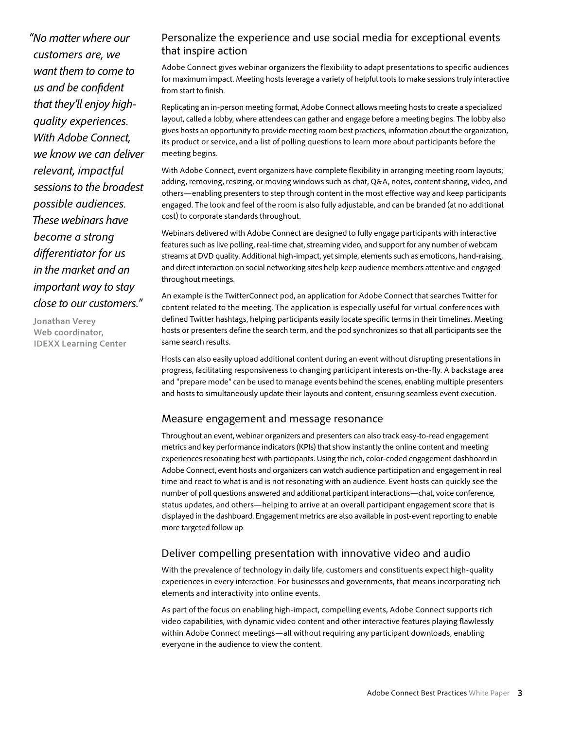*"No matter where our customers are, we want them to come to us and be confident that they'll enjoy highquality experiences. With Adobe Connect, we know we can deliver relevant, impactful sessions to the broadest possible audiences. These webinars have become a strong differentiator for us in the market and an important way to stay close to our customers."*

**Jonathan Verey Web coordinator, IDEXX Learning Center**

### Personalize the experience and use social media for exceptional events that inspire action

Adobe Connect gives webinar organizers the flexibility to adapt presentations to specific audiences for maximum impact. Meeting hosts leverage a variety of helpful tools to make sessions truly interactive from start to finish.

Replicating an in-person meeting format, Adobe Connect allows meeting hosts to create a specialized layout, called a lobby, where attendees can gather and engage before a meeting begins. The lobby also gives hosts an opportunity to provide meeting room best practices, information about the organization, its product or service, and a list of polling questions to learn more about participants before the meeting begins.

With Adobe Connect, event organizers have complete flexibility in arranging meeting room layouts; adding, removing, resizing, or moving windows such as chat, Q&A, notes, content sharing, video, and others—enabling presenters to step through content in the most effective way and keep participants engaged. The look and feel of the room is also fully adjustable, and can be branded (at no additional cost) to corporate standards throughout.

Webinars delivered with Adobe Connect are designed to fully engage participants with interactive features such as live polling, real-time chat, streaming video, and support for any number of webcam streams at DVD quality. Additional high-impact, yet simple, elements such as emoticons, hand-raising, and direct interaction on social networking sites help keep audience members attentive and engaged throughout meetings.

An example is the TwitterConnect pod, an application for Adobe Connect that searches Twitter for content related to the meeting. The application is especially useful for virtual conferences with defined Twitter hashtags, helping participants easily locate specific terms in their timelines. Meeting hosts or presenters define the search term, and the pod synchronizes so that all participants see the same search results.

Hosts can also easily upload additional content during an event without disrupting presentations in progress, facilitating responsiveness to changing participant interests on-the-fly. A backstage area and "prepare mode" can be used to manage events behind the scenes, enabling multiple presenters and hosts to simultaneously update their layouts and content, ensuring seamless event execution.

#### Measure engagement and message resonance

Throughout an event, webinar organizers and presenters can also track easy-to-read engagement metrics and key performance indicators (KPIs) that show instantly the online content and meeting experiences resonating best with participants. Using the rich, color-coded engagement dashboard in Adobe Connect, event hosts and organizers can watch audience participation and engagement in real time and react to what is and is not resonating with an audience. Event hosts can quickly see the number of poll questions answered and additional participant interactions—chat, voice conference, status updates, and others—helping to arrive at an overall participant engagement score that is displayed in the dashboard. Engagement metrics are also available in post-event reporting to enable more targeted follow up.

### Deliver compelling presentation with innovative video and audio

With the prevalence of technology in daily life, customers and constituents expect high-quality experiences in every interaction. For businesses and governments, that means incorporating rich elements and interactivity into online events.

As part of the focus on enabling high-impact, compelling events, Adobe Connect supports rich video capabilities, with dynamic video content and other interactive features playing flawlessly within Adobe Connect meetings—all without requiring any participant downloads, enabling everyone in the audience to view the content.